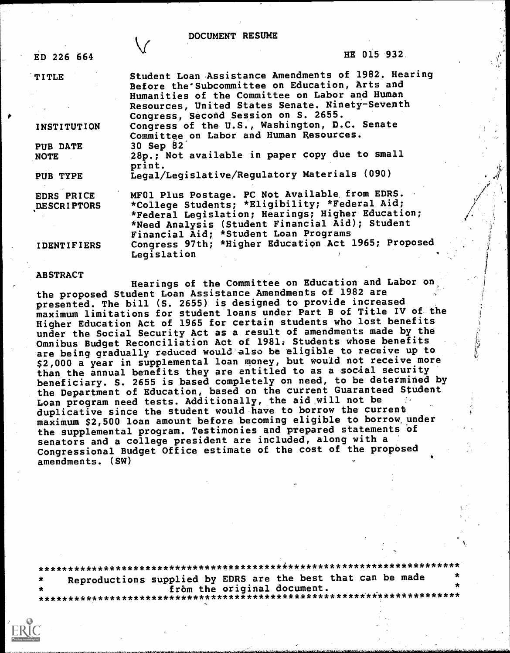# DOCUMENT RESUME

 $\sqrt{}$ 

| ED 226 664                       | HE 015 932                                                                                                                                                                                                                                        |  |
|----------------------------------|---------------------------------------------------------------------------------------------------------------------------------------------------------------------------------------------------------------------------------------------------|--|
| <b>TITLE</b>                     | Student Loan Assistance Amendments of 1982. Hearing<br>Before the Subcommittee on Education, Arts and<br>Humanities of the Committee on Labor and Human                                                                                           |  |
|                                  | Resources, United States Senate. Ninety-Seventh<br>Congress, Second Session on S. 2655.                                                                                                                                                           |  |
| <b>INSTITUTION</b>               | Congress of the U.S., Washington, D.C. Senate<br>Committee on Labor and Human Resources.                                                                                                                                                          |  |
| <b>PUB DATE</b><br><b>NOTE</b>   | 30 Sep 82<br>28p.; Not available in paper copy due to small<br>print.                                                                                                                                                                             |  |
| PUB TYPE                         | Legal/Legislative/Regulatory Materials (090)                                                                                                                                                                                                      |  |
| <b>EDRS PRICE</b><br>DESCRIPTORS | MF01 Plus Postage. PC Not Available from EDRS.<br>*College Students; *Eligibility; *Federal Aid;<br>*Federal Legislation; Hearings; Higher Education;<br>*Need Analysis (Student Financial Aid); Student<br>Financial Aid; *Student Loan Programs |  |
| <b>IDENTIFIERS</b>               | Congress 97th; *Higher Education Act 1965; Proposed<br>Legislation                                                                                                                                                                                |  |

# ABSTRACT

Hearings of the Committee on Education and Labor on, the proposed Student Loan Assistance Amendments of 1982 are presented. The bill (S. 2655) is designed to provide increased maximum limitations for student loans under Part B of Title IV of the Higher Education Act of 1965 for certain students who lost benefits under the Social Security Act as a result of amendments made by the Omnibus Budget Reconciliation Act of 1981: Students whose benefits are being gradually reduced would also be eligible to receive up to \$2,000 a year in supplemental loan money, but would not receive more than the annual benefits they are entitled to as a social security beneficiary. S. 2655 is based completely on need, to be determined by the Department of Education, based on the current Guaranteed Student Loan program need tests. Additionally, the aid will not be duplicative since the student would have to borrow the current maximum \$2,500 loan amount before becoming eligible to borrow, under the supplemental program. Testimonies and prepared statements of senators and a college president are included, along with a Congressional Budget Office estimate of the cost of the proposed amendments. (SW)

\*\*\*\*\*\*\*\*\*\*\*\*\*\*\*\*\*\*\*\*\*\*\*\*\*\*\*\*\*\*\*\*\*\*\*\*\*\*\*\*\*i\*\*\*\*\*\*\*\*\*\*\*\*\*\*\*\*\*\*\*\*\*\*\*\*\*\*\*\*\* Reproductions supplied by EDRS are the best that can be made<br>from the original document. frOm the original document. \*\*\*\*\*\*\*\*\*\*\*\*\*\*\*\*\*\*\*\*\*\*\*\*\*\*\*\*\*\*\*\*\*\*\*\*\*\*\*\*\*\*\*\*\*\*\*\*\*\*\*\*\*\*\*\*\*\*\*\*\*\*\*\*\*\*\*\*\*\*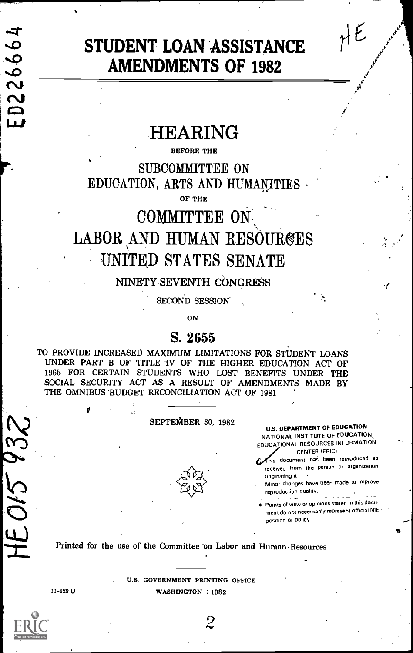# ED226664

 $21595$ 

# STUDENT LOAN ASSISTANCE  $\eta \nmid \mathcal{E}$ AMENDMENTS OF 1982

# **HEARING**

### BEFORE THE

SUBCOMMITTEE ON EDUCATION, ARTS AND HUMANITIES

OF THE

# COMMITTEE ON LABOR AND HUMAN RESOURGES UNITED STATES SENATE

# NINETY-SEVENTH CONGRESS

SECOND SESSION

ON

# S. 2655

TO PROVIDE INCREASED MAXIMUM LIMITATIONS FOR STUDENT LOANS UNDER PART B OF TITLE IV OF THE HIGHER EDUCATION ACT OF 1965 FOR CERTAIN STUDENTS WHO LOST BENEFITS UNDER THE SOCIAL SECURITY ACT AS A RESULT OF AMENDMENTS MADE BY THE OMNIBUS BUDGET RECONCILIATION ACT OF 1981

# SEPTEMBER 30, 1982



U.S. DEPARTMENT OF EDUCATION NATIONAL INSTITUTE OF EDUCATION EDUCATIONAL RESOURCES INFORMATION CENTER IERIC)

is document has been reproduced as received from the Person or organization originating it.

Minor changes have been made to improve reproduction quality.

Points of view or opinions stated in this docu ment do not necessarily represent official NIE position or policy.

Printed for the use of the Committee 'on Labor and Human Resources

U.S. GOVERNMENT PRINTING OFFICE 11-629 O WASHINGTON : 1982

2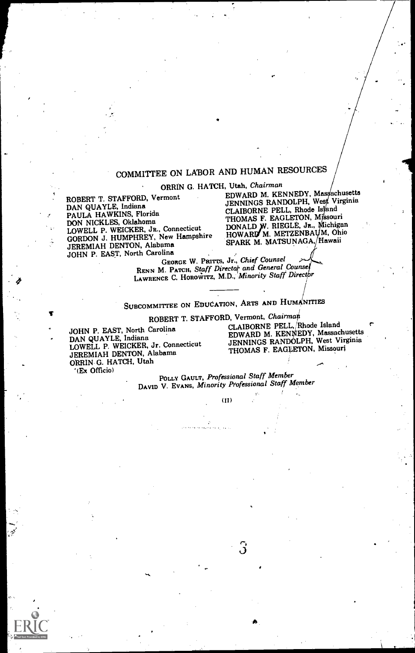# COMMITTEE ON LABOR AND HUMAN RESOURCES

ORRIN G. HATCH, Utah, Chairman

ROBERT T. STAFFORD, Vermont DAN QUAYLE, Indiana PAULA HAWKINS, Florida<br>DON NICKLES, Oklahoma DON NICKLES, Oklahoma LOWELL P. WEICKER, JR., Connecticut GORDON J. HUMPHREY, New Hampshire JEREMIAH DENTON, Alabama JOHN P. EAST, North Carolina<br>GEORGE W. PRITTS, Jr., Chief Counsel

EDWARD M. KENNEDY, Massachusetts<br>JENNINGS RANDOLPH, West Virginia CLAIBORNE PELL, Rhode Island<br>THOMAS F. EAGLETON, Missouri THOMAS F. EAGLETON, Missouri<br>DONALD W. RIEGLE, Jr., Michigan<br>HOWARD M. METZENBAUM, Ohio SPARK M. MATSUNAGA, Hawaii

RENN M. PATCH, Staff Director and General Counsel RENN M. PATCH, Staff Directot and General Counsel<br>LAWRENCE C. HOROWITZ, M.D., Minority Staff Director

# SUBCOMMITTEE ON EDUCATION, ARTS AND HUMANITIES

DAN QUAYLE, Indiana<br>LOWELL P. WEICKER, Jr. Connecticut JENNINGS RANDOLPH, West Virginia<br>LENEMIAH DENTON Alabama<br>THOMAS F. EAGLETON, Missouri JEREMIAH DENTON, Alabama ORRIN G. HATCH, Utah '(Ex Officio)

ROBERT T. STAFFORD, Vermont, Chairman<br>Carolina CLAIBORNE PELL, Rhode Island JOHN P. EAST, North Carolina CLAIBORNE PELL, 'Rhode Island DAN QUAYLE, Indiana EDWARD M. KE1EDY, Massachusetts

> POLLY GAULT, Professional Staff Member DAVID V. EVANS, Minority Professional Staff Member

> > $(II)$

З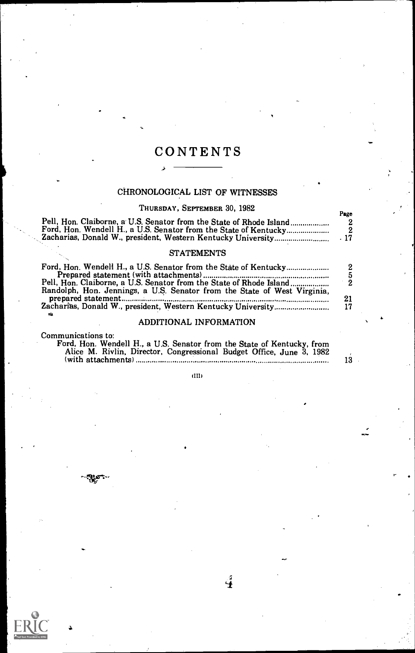# **CONTENTS**

لح

# CHRONOLOGICAL LIST OF WITNESSES

# THURSDAY, SEPTEMBER 30, 1982

| Pell, Hon. Claiborne, a U.S. Senator from the State of Rhode Island<br>Ford, Hon. Wendell H., a U.S. Senator from the State of Kentucky         | Page |  |
|-------------------------------------------------------------------------------------------------------------------------------------------------|------|--|
| <b>STATEMENTS</b>                                                                                                                               |      |  |
| Ford, Hon. Wendell H., a U.S. Senator from the State of Kentucky                                                                                |      |  |
| Pell, Hon. Claiborne, a U.S. Senator from the State of Rhode Island<br>Randolph, Hon. Jennings, a U.S. Senator from the State of West Virginia, |      |  |
| Zacharias, Donald W., president, Western Kentucky University                                                                                    | 21   |  |

# ADDITIONAL INFORMATION

Communications to:

ికిక

| Ford, Hon. Wendell H., a U.S. Senator from the State of Kentucky, from |    |
|------------------------------------------------------------------------|----|
| Alice M. Rivlin, Director, Congressional Budget Office, June 3, 1982   |    |
|                                                                        | 13 |

(HI)

 $\boldsymbol{4}$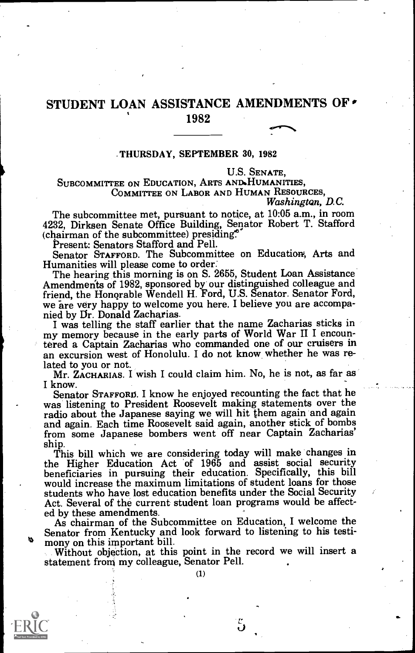# STUDENT LOAN ASSISTANCE AMENDMENTS OF 1982

# THURSDAY, SEPTEMBER 30, 1982

### U.S. SENATE,

SUBCOMMITTEE ON EDUCATION, ARTS AND.HUMANITIES, COMMITTEE ON LABOR AND HUMAN RESOURCES,

Washington, D.C.

 $\sim$ 

The subcommittee met, pursuant to notice, at 10:05 a.m., in room 4232, Dirksen Senate Office Building, Senator Robert T. Stafford (chairman of the subcommittee) presiding.<br>Present: Senators Stafford and Pell.

Senator STAFFORD. The Subcommittee on Education, Arts and Humanities will please come to order.

The hearing this morning is on S. 2655, Student Loan Assistance<br>Amendmerits of 1982, sponsored by our distinguished colleague and friend, the Honorable Wendell H. Ford, U.S. Senator. Senator Ford, we are very happy to welcome you here. I believe you are accompa-

I was telling the staff earlier that the name Zacharias sticks in my memory because in the early parts of World War II I encountered a Captain Zacharias who commanded one of our cruisers in an excursion west of Honolulu. I do not know whether he was re-

Mr. ZACHARIAS. I wish I could claim him. No, he is not, as far as

I know.<br>Senator Starford. I know he enjoyed recounting the fact that he was listening to President Roosevelt making statements over the radio about the Japanese saying we will hit them again and again and again. Each time Roosevelt said again, another stick of bombs from some Japanese bombers went off near Captain Zacharias'

ship. This bill which we are considering today will make changes in the Higher Education Act of 1965 and assist social security beneficiaries in pursuing their education. Specifically, this bill would increase the maximum limitations of student loans for those students who have lost education benefits under the Social Security Act. Several of the current student loan programs would be affected by these amendments.

As chairman of the Subcommittee on Education, I welcome the Senator from Kentucky and look forward to listening to his testimony on this important bill.<br>Without objection, at this point in the record we will insert a

statement from my colleague, Senator Pell.





5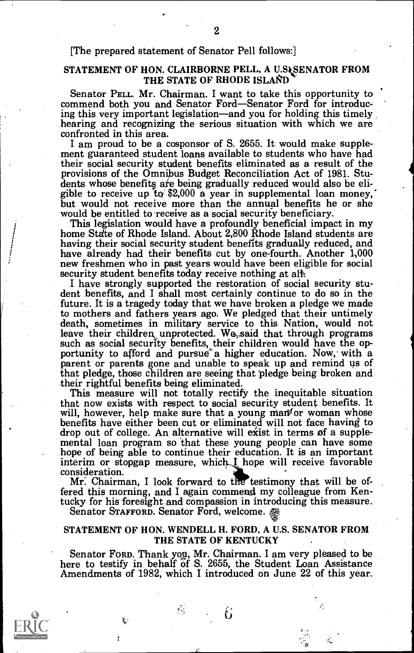# [The prepared statement of Senator Pell follows:]

# STATEMENT OF HON. CLAIRBORNE PELL, A U.SASENATOR FROM THE STATE OF RHODE ISLAND

Senator PELL. Mr. Chairman. I want to take this opportunity to commend both you and Senator Ford—Senator Ford for introducing this very important legislation—and you for holding this timely hearing and recognizing the serious situation with which we are confronted in this area.<br>I am proud to be a cosponsor of S. 2655. It would make supple-

ment guaranteed student loans available to students who have had their social security student benefits eliminated as a result of the provisions of the Omnibus Budget Reconciliation Act of 1981. Stu-<br>dents whose benefits are being gradually reduced would also be eli-<br>gible to receive up to \$2,000 a year in supplemental loan money,<br>but would not receive

This legislation would have a profoundly beneficial impact in my home State of Rhode Island. About 2,800 Rhode Island students are having their social security student benefits gradually reduced, and have already had their benefits cut by one-fourth. Another 1,000

new freshmen who in past years would have been eligible for social<br>security student benefits today receive nothing at all:<br>I have strongly supported the restoration of social security stu-<br>dent benefits, and I shall most c future. It is a tragedy today that we have broken a pledge we made to mothers and fathers years ago. We pledged that their untimely death, sometimes in military service to this Nation, would not leave their children unprotected. We said that through programs such as social security benefits, their children would have the opportunity to afford and pursue a higher education. Now, with a parent or parents gone and unable to speak up and remind us of that pledge, those children are seeing that pledge being broken and

This measure will not totally rectify the inequitable situation that now exists with respect to social security student benefits. It that now exists with respect to social security student benefits. It will, however, help make sure that a young man<sup>t</sup> or woman whose benefits have either been cut or eliminated will not face having to drop out of college. interim or stopgap measure, which  $I$  hope will receive favorable consideration.

Mr. Chairman, I look forward to the testimony that will be offered this morning, and I again commend my colleague from Kentucky for his foresight and compassion in introducing this measure. Senator STAFFORD. Senator Ford, welcome.

 $\mathcal{E}_{\mathcal{A}}$ 

## STATEMENT OF HON. WENDELL H. FORD, A U.S. SENATOR FROM THE STATE OF KENTUCKY

Senator FORD. Thank you, Mr. Chairman. I am very pleased to be here to testify in behalf of S. 2655, the Student Loan Assistance Amendments of 1982, which I introduced on June 22 of this year.

ti

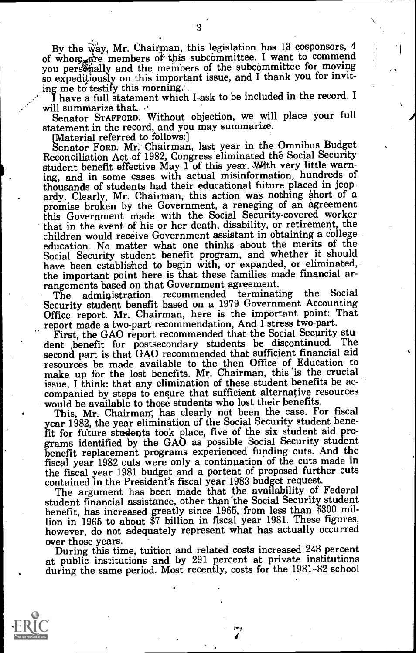By the way, Mr. Chairman, this legislation has 13 cosponsors, 4 of whom are members of this subcommittee. I want to commend you personally and the members of the subcommittee for moving so expeditiously on this important issue, and I thank you for inviting me to testify this morning.

I have a full statement which I ask to be included in the record. I will summarize that.

Senator STAFFORD. Without objection, we will place your full statement in the record, and you may summarize.

[Material referred to follows:]<br>Senator Forp. Mr.` Chairman, last year in the Omnibus Budget Reconciliation Act of 1982, Congress eliminated the Social Security student benefit effective May  $1$  of this year. With very little warning, and in some cases with actual misinformation, hundreds of ardy. Clearly, Mr. Chairman, this action was nothing short of a promise broken by the Government, a reneging of an agreement this Government made with the Social Security-covered worker that in the event of his or her death, disability, or retirement, the children would receive Government assistant in obtaining a College education. No matter what one thinks about the merits of the Social Security student benefit program, and whether it should have been established to begin with, or expanded, or eliminated, the important point here is that these families made financial arrangements based on that Government agreement.<br>The edministration recommended terminating the

The administration recommended terminating the Social Security student benefit based on a 1979 Government Accounting

Office report. Mr. Chairman, here is the important point: That<br>report made a two-part recommendation, And I stress two-part.<br>First, the GAO report recommended that the Social Security stu-<br>dent benefit for postsecondary st second part is that GAO recommended that sufficient financial aid resources be made available to the then Office of Education to make up for the lost benefits. Mr. Chairman, this 'is the crucial issue, I think: that any elimination of these student benefits be ac- companied by steps to ensure that sufficient alternative resources would be available to those students who lost their benefits.

This, Mr. Chairman, has clearly not been the case. For fiscal year 1982, the year elimination of the Social Security student benefit for future students took place, five of the six student aid programs identified by the GAO as possible Social Security student benefit replacement programs experienced funding cuts. And the fiscal year 1982 cuts were only a continuation of the cuts made in

contained in the President's fiscal year 1983 budget request.<br>The argument has been made that the availability of Federal<br>student financial assistance, other than the Social Security student benefit, has increased greatly since 1965, from less than \$300 million in 1965 to about \$7 billion in fiscal year 1981. These figures, however, do not adequately represent what has actually occurred

over those years. During this time, tuition and related costs increased 248 percent at public institutions and by 291 percent at private institutions during the same period. Most recently, costs for the 1981-82 school

fr./



3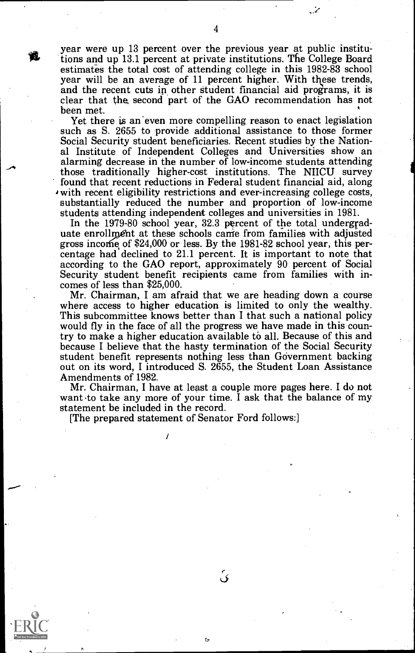year were up 13 percent over the previous year at public institutions and up 13.1 percent at private institutions. The College Board estimates the total cost of attending college in this 1982-83 school year will be an average of 11 percent higher. With these trends, and the recent cuts in other student financial aid programs, it is clear that the second

Yet there is an even more compelling reason to enact legislation such as S. 2655 to provide additional assistance to those former Social Security student beneficiaries. Recent studies by the Nation- al Institute of Independent Colleges and Universities show an alarming decrease in the number of low-income students attending those traditionally higher-cost institutions. The NIICU survey with recent eligibility restrictions and ever-increasing college costs, substantially reduced the number and proportion of low-income students attending independent colleges and universities in 1981.

In the 1979-80 school year, 32.3 percent of the total undergrad-<br>uate enrollment at these schools came from families with adjusted gross income of \$24,000 or less. By the 1981-82 school year, this percentage had declined to 21.1 percent. It is important to note that according to the GAO report, approximately 90 percent of Social Security student benef

Mr. Chairman, I am afraid that we are heading down a course<br>where access to higher education is limited to only the wealthy.<br>This subcommittee knows better than I that such a national policy<br>would fly in the face of all th try to make a higher education available to all. Because of this and because I believe that the hasty termination of the Social Security student benefit represents nothing less than Government backing out on its word, I introduced S. 2655, the Student Loan Assistance Amendments of 1982.<br>Mr. Chairman, I have at least a couple more pages here. I do not

want to take any more of your time. I ask that the balance of my statement be included in the record.

p,

ئ

[The prepared statement of Senator Ford follows:]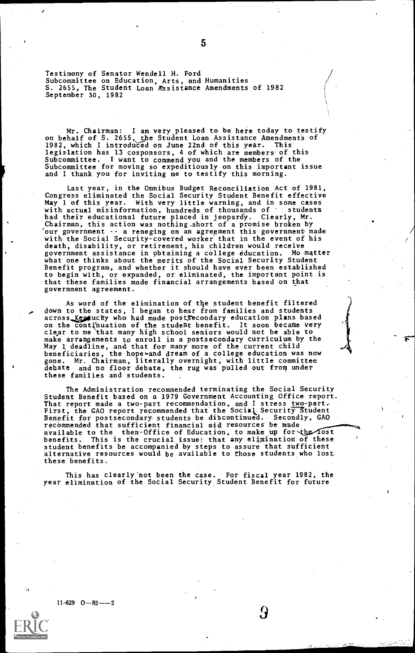Testimony of Senator Wendell H. Ford Subcommittee on Education, Arts, and Humanities<br>S. 2655, The Student Loan Assistance Amendments of 1982 September 30, 1982

Mr. Chairman: I am very pleased to be here today to testify<br>on behalf of S. 2655, the Student Loan Assistance Amendments of<br>1982, which I introduced on June 22nd of this year. This<br>legislation has 13 cosponsors, 4 of which and I thank you for inviting me to testify this morning.

Last year, in the Omnibus Budget Reconciliation Act of 1981, Congress eliminated the Social Security Student Benefit effective May 1 of this year. With very little warning, and in some cases<br>with actual misinformation, hundreds of thousands of :: students with actual misinformation, hundreds of thousands of : students<br>had their educational future placed in jeopardy. Clearly, Mr. Chairman, this action was nothing short of a promise broken by<br>"our government -- a reneging on an agreement this government made<br>with the Social Security-covered worker that in the event of his death, disability, or retirement, his children would receive<br>government assistance in obtaining a college education. Mo matter government assistance in obtaining a college education. Mo matter what one thinks about the merits of the Social Security Student Benefit program, and whether it should have ever been established to begin with, or expanded, or eliminated, the important point is that these families made financial arrangements based on that government agreement.

As word of the elimination of the student benefit filtered down to the states, I began to hear from families and students<br>across *Kept*ucky who had made postSecondary education plans based<br>on the continuation of the student benefit. It soon became very<br>clear to me that many high s make arrangements to enroll in a postsecondary curriculum by the May 1 deadline, and that for many more of the current child<br>beneficiaries, the hope» and dream of a college education was now<br>gone. Mr. Chairman, literally overnight, with little committee<br>debate and no floor debate, the r these families and students.

The Administration recommended terminating the Social Security Student Benefit based on a 1979 Government Accounting Office report. That report made a two-part recommendation, and I stress two-part.<br>First, the GAO report recommended that the Social Security Student<br>Benefit for postsecondary students be discontinued. Secondly, GAO<br>recommended that suffi available to the then-Office of Education, to make up for the lost benefits. This is the crucial issue: that any elimination of these student benefits be accompanied by steps to assure that sufficient alternative resources would be available to those students who lost these benefits.

This has clearly'not been the case. For fiscal year 1982, the year elimination of the Social Security Student Benefit for future

9

 $11-629$   $0-82--2$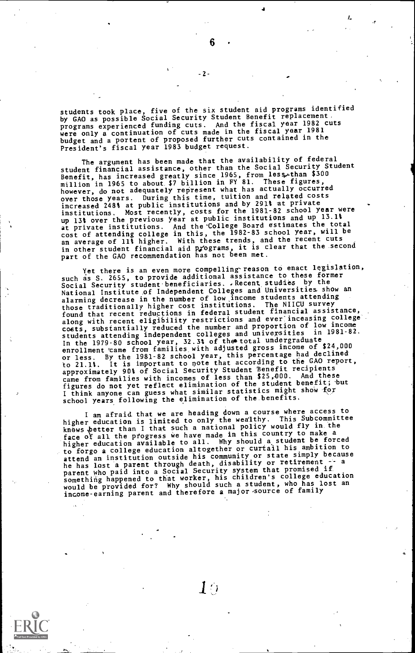students took place, five of the six student aid programs identified by GAO as possible Social Security Student Benefit replacement, programs experienced funding cuts. And the fiscal year 1982 cuts were only a continuation of cuts made in the fiscal year 1981 budget and a portent of proposed further cuts contained in the President's fiscal year 1983 budget request.

The argument has been made that the availability of federal<br>student financial assistance, other than the Social Security Student Benefit, has increased greatly since 1965, from less.than \$300<br>million in 1965 to about \$7 billion in FY 81. These figures,<br>however, do not adequately represent what has actually occurred over those years. During this time, tuition and related costs<br>increased 248% at public institutions and by 291% at private<br>institutions. Most recently, costs for the 1981–82 school year were<br>up 13% over the previous year a at private institutions. And the College Board estimates the total<br>cost of attending college in this, the 1982-83 school year, will be an average of 11% higher. With these trends, and the recent cuts in other student financial aid Rrograms, it is clear that the second part of the GAO recommendation has not been met.

Yet there is an even more compelling reason to enact legislation, such as S. 2655, to provide additional assistance to these former Social Security student beneficiaries. .Recent studies by the National Institute sof Independent Colleges and Universities show an alarming decrease in the number of low income students attending<br>those traditionally higher cost institutions. The NIICU survey<br>found that recent reductions in federal student financial assistance,<br>along with recent eligib along with its containing reduced the number and proportion of low income<br>students attending independent colleges and universities in 1981-82.<br>In the 1979-80 school year, 32.3% of the total undergraduate<br>enrollment came fr or less. By the 1981-82 school year, this percentage had declined to 21.1%. It is important to note that according to the GAO report, approximately 90% of Social Security Student Benefit recipients pproximation, it is with incomes of less than \$25,000. And these<br>figures do not yet reflect elimination of the student benefit; but<br>figures do not yet reflect elimination of the student behall for I think anyone can guess what similar statistics might show for school years following the elimination of the benefits.

I am afraid that we are heading down a course where access to<br>higher education is limited to only the wealthy. This Subcommittee higher concert than I that such a national policy would fly in the<br>face of all the progress we have made in this country to make a<br>higher education available to all. Why should a student be forced<br>higher education availabl to forgo a college education altogether or curtail his ambition to extend an institution outside his community or state simply because<br>he has lost a parent through death, disability or retirement -- a<br>parent who paid into a Social Security system that promised if<br>something happened to tha

 $6 \quad \cdot \quad$ 

-2-

 $\Gamma$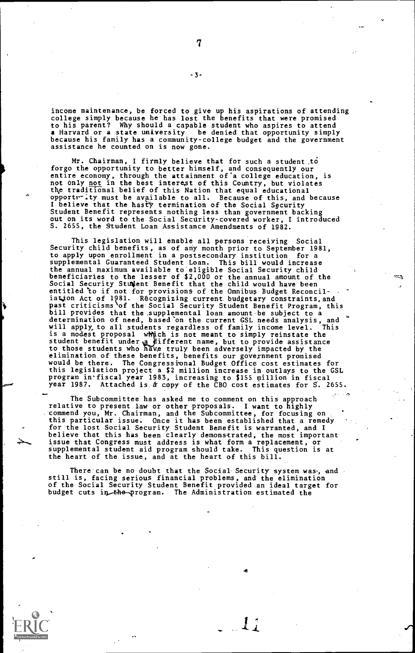income maintenance, be forced to give up his aspirations of attending college simply because he has lost the benefits that were promised to his parent? Why should a capable student who aspires to attend a Harvard or a state university be denied that opportunity simply because his family has a community-college budget and the government assistance he counted on is now gone.

Mr. Chairman, I firmly believe that for such a student,t8 forgo the opportunity to better himself, and consequently our entire economy, through the attainment of'a college education, is not only <u>not</u> in the best interest of this Country, but violates<br>the traditional belief of this Nation that equal educational opportr-ity must be available to all. Because of this, and because I believe that the hastY termination of the Social Security Student Benefit represents nothing less than government backing out on its word to the Social Security-covered worker, I introduced S. 2655, the Student Loan Assistance Amendments of 1982.

This legislation will enable all persons receiving Social Security child benefits, as of any month prior to September 1981, to apply upon enrollment in a postsecondary institution for a supplemental Guaranteed Student Loan. This bill would increase the annual maximum available to eligible Social Security child<br>beneficiaries to the lesser of \$2,000 or the annual amount of the beneficiaries to the lesser of \$2,000 or the annual amount of the<br>Social Security Student Benefit that the child would have been<br>entitled to if not for provisions of the Omnibus Budget Reconcil-<br>iation Act of 1981. Recogni bill provides that the supplemental loan amount be subject to a determination of need, based on the current GSL needs analysis, and<br>will apply to all students regardless of family income level. This will apply to all students regardless of family income level. This<br>is a modest proposal which is not meant to simply reinstate the<br>student benefit under a different name, but to provide assistance<br>to those students who hav this legislation project a \$2 million increase in outlays to the GSL<br>program in fiscal year 1983, increasing to \$155 million in fiscal<br>year 1987. Attached is a copy of the CBO cost estimates for S. 2655.

The Subcommittee has asked me to comment on this approach relative to present law or other proposals. I want to highly commend you, Mr. Chairman, and the Subcommittee, for focusing on<br>this particular issue. Once it has been established that a remedy<br>for the lost Social Security Student Benefit is warranted, and I<br>believe that this has been issue that Congress must address is what form a replacement, or supplemental student aid program should take. This question is at the heart of the issue, and at the heart of this bill.

There can be no doubt that the Social Security system was-, and still is, facing serious financial problems, and the elimination of the Social Security Student Benefit provided an ideal target for budget cuts in the program. The Administration estimated the

-3-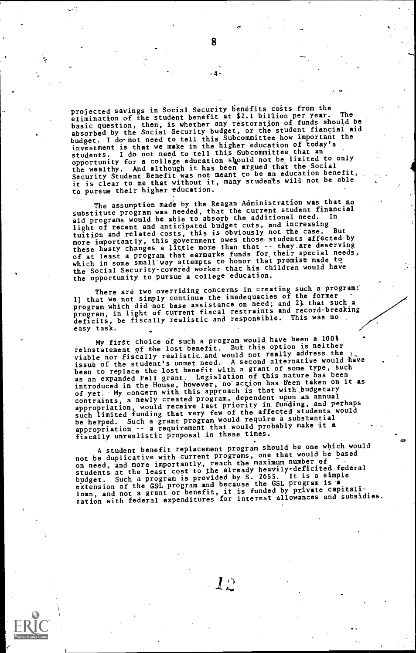projected savings in Social Security benefits costs from the elimination of the student benefit at \$2.1 billion per year. basic question, then, is whether any restoration of funds should be<br>absorbed by the Social Security budget, or the student fiancial aid<br>budget. I do not need to tell this Subcommittee how important the<br>investment is that w opportunity for a college education should not be, limited to only<br>the wealthy. And although it has been argued that the Social Security Student Benefit was not meant to be an education benefit, it is clear to me that without it, many students will not be able to pursue their higher education.

The assumption made by the Reagan Administration was that no substitute program was needed, that the current student financial<br>aid programs would be able to absorb the additional need. In light of recent and anticipated budget cuts, and increasing<br>tuition and related costs, this is obviously not the case. But right of and related costs, this is obviously not the case. But<br>more importantly, this government owes those students affected by<br>these hasty changes a little more than that -- they are deserving<br>of at least a program that the opportunity to pursue a college education.

There are two overriding concerns in creating such a program:<br>1) that we not simply continue the inadequacies of the former<br>program which did not base assistance on need; and 2). that such reaking program, in light of current fiscal restraints and record-breaking deficits, be fiscally realistic and responsible. This was no easy task.

My first choice of such a program would have been a 100\$<br>reinstatement of the lost benefit. But this option is neither reinstatement of the lost benefit. But this option is neither<br>viable nor fiscally realistic and would not really address the<br>issue of the student's unmet need. A second alternative would have<br>been to replace the lost benef appropriation -- a requirement that would probably make it a fiscally unrealistic proposal in these times.

A student benefit replacement program should be one which would<br>not be duplicative with current programs, one that would be based<br>on need, and more importantly, reach the maximum number of<br>students at the least cost to the

-4-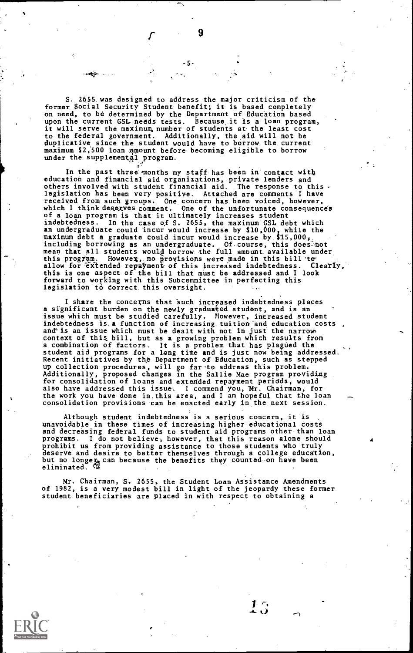S. 2655, was designed to address the major criticism of the former Social Security Student benefit; it is based completely on need, to be determined by the Department of Education based upon the current GSL needs tests. Because it is a loan program, it will serve the maximum number of students at the least cost to the federal government. Additionally, the aid will not be duplicative since the student would have to borrow the current maximum \$2,500 loan amount before becoming eligible to borrow under the supplemental program.

In the past three months my staff has been in contact with education and financial aid organizations, private lenders and<br>others involved with student financial aid. The response to this.<br>legislation has been very positive. Attached are comments I have<br>received from such groups. O of a loan program is that it ultimately increases student indebtedness. In the case of S. 2655, the maximum GSL debt which an undergraduate could incur would increase by \$10,000, while the maximum debt a graduate could incur would increase by \$15,000,, including borrowing as an undergraduate. Of course, this does not<br>mean that all students would borrow the full amount available under this program. However, no provisions were made in this bill to<br>allow for extended repayment of this increased indebtedness. Clearly,<br>this is one aspect of the bill that must be addressed and I look forward to working with this Subcommittee in perfecting this legislation to correct this oversight.

I share the concerns that Such increased indebtedness places a significant burden on the newly graduated student, and is an<br>issue which must be studied carefully. However, increased student<br>indebtedness is a function of increasing tuition and education costs,<br>and is an issue which m up collection procedures, will go far.to address this problem. Additionally, proposed changes in the Sallie Mae program providing for consolidation of loans and extended repayment periods, would<br>also have addressed this issue. I commend you, Wr. Chairman, for<br>the work you have done in this area, and I am hopeful that the loan consolidation provisions can be enacted early in the next session.

Although student indebtedness is a serious concern, it is unavoidable in these times of increasing higher educational costa and decreasing federal funds to student aid programs other than loan programs. I do not believe) however, that this reason alone should prohibit us from providing assistance to those students who truly deserve and desire to better themselves through a college education,<br>but no longer, can because the benefits they counted on have been<br>eliminated. ©

Mr. Chairman, S. 2655 , the Student Loan Assistance Amendments of 1982, is a very modest hill in light of the jeopardy these former student beneficiaries are placed in with respect to obtaining a

-5-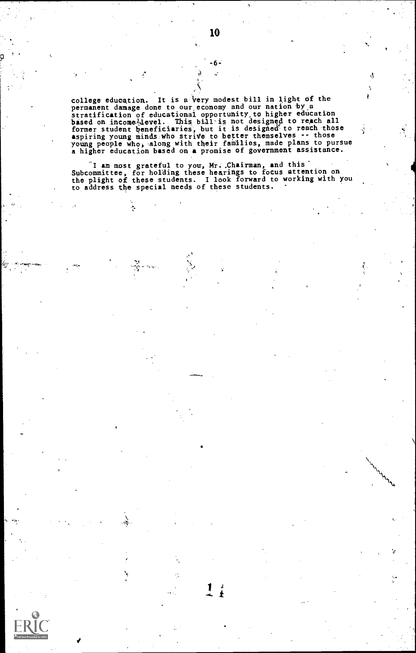college education. It is a very modest bill in light of the<br>permanent damage done to our economy and our nation by a<br>stratification of educational opportunity, to higher education<br>based on income<sup>1</sup>-devel. This bill is not

I am most grateful to you, Mr. Chairman, and this<br>Subcommittee, for holding these hearings to focus attention on<br>the plight of these students. I look forward to working with you<br>to address the special needs of these studen

1

Ą,

 $\mathcal{L}_{\mathbf{z},\mathbf{z}}$ 

.kj-

 $6 -$ J.

Ą Â,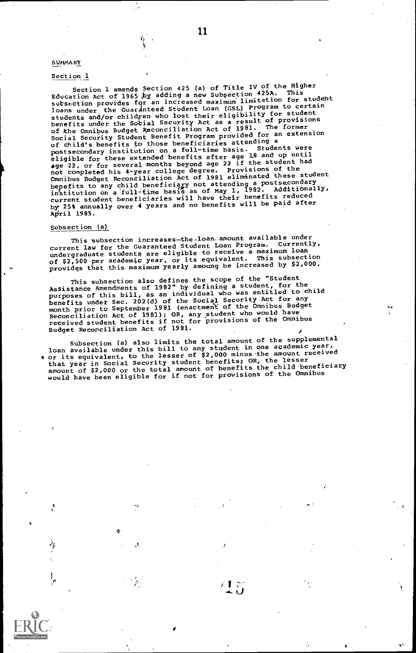### SUMMARY

### Section 1

Section 1 amends Section 425 (a) of Title IV of the Higher<br>Education Act of 1965 by adding a new Subsection 425A. This<br>Education Act student sutsection provides for an increased maximum limitation for student source the Guardneed Student Loan (GSL) Program to certain<br>Ioans under the Guardneed Student Loan (GSL) Program to certain<br>students and/or children who lost their eligibility for student<br>benefits under the Social Security Social Security Student Benefit Program provided for an extension of child's benefits to those beneficiaries attending a<br>postsecondary institution on a full-time basis. Students were<br>eligible for these extended benefits after age 18 and up until<br>age 22, or for several months beyond age 2 bepefits to any child beneficiary not attending a postsecondary<br>institution on a full-time basis as of May 1, 1982. Additionally,<br>current student beneficiaries will have their benefits reduced by 25% annually over 4 years and no benefits will be paid after April 1985.

### Subsection<sub>(a)</sub>

This subsection increases-the-loan.amount available under<br>1.1.1.5.5.1.the Cuaranteed Student Loan Program. Currently, current law for the Guaranteed Student Loan Program. undergraduate students are eligible to receive a maximum loan of \$2,500 per academic year, or its equivalent. This subsection providgs that this maximum yearly amoung be increased by \$2,000.

This subsection also defines the scope of the "Student<br>Assistance Amendments of 1982" by defining a student, for the child purposes of this bill, as an individual who was entitled to child purposes of the set and of the Social Security Act for any<br>month prior to September 1981 (enactment of the Omnibus Budget<br>Reconciliation Act of 1981); OR, any student who would have<br>received student benefits if not for pro Budget Reconciliation Act of 1981.

Subsection (a) also limits the total amount of the supplemental<br>loan available under this bill to any student in one academic year,<br>or its equivalent, to the lesser of \$2,000 minus.the amount received that year in Social Security student benefits; OR, the lesser amount of \$2,000 or the total amount of benefits the child 'beneficiary would have been eligible for if not for provisions of the Omnibus

٠ì,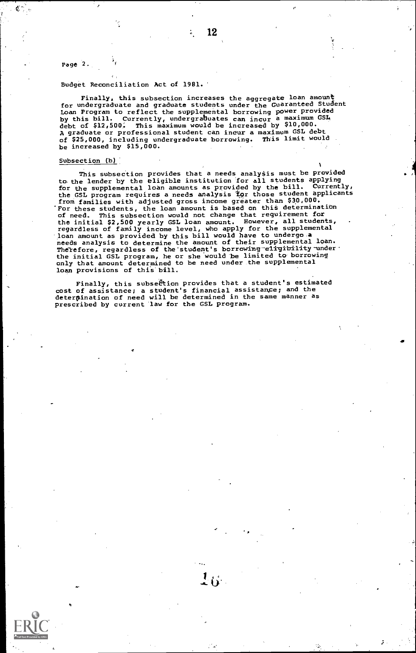Page 2.

### Budget Reconciliation Act of 1981.

Finally, this subsection increases the aggregate loan amount for undergraduate and graduate students under the Guaranteed Student Loan Program to reflect the supplemental borrowing power provided<br>by this bill. Currently, undergraduates can incur a maximum GSL<br>debt of \$12,500. This maximum would be increased by \$10,000. A graduate or professional student can ineur a maximum GSL debt of 825,000, including undergraduate borrowing. This limit would be increased by \$15,000.

### Subsection (b)

This subsection provides that a needs analysis must be provided to the lender by the eligible institution for all students applying<br>for the supplemental loan amounts as provided by the bill. Currently,<br>the GSL program requires a needs analysis tor those student applicants from families with adjusted gross income greater than 830,000, For these students, the loan amount is based on this determination of need. This subsection would not change that requirement for<br>the initial \$2,500 yearly GSL loan amount. However, all students, .<br>regardless of family income level, who apply for the supplemental loan amount as provided by this bill would have to undergo a needs analysis to determine the amount of their supplemental loan. Therefore, regardless of the student's borrowing eligibility under.<br>the initial GSL program, he or she would be limited to borrowing only that amount determined to be need under the supplemental loan provisions of this bill.

1

Finally, this subsegtion provides that a student's estimated cost of assistance; a student's financial assistanPe; and the deterpination of need will be determined in the same manner as prescribed by current law for the GSL program.

 $16^{\circ}$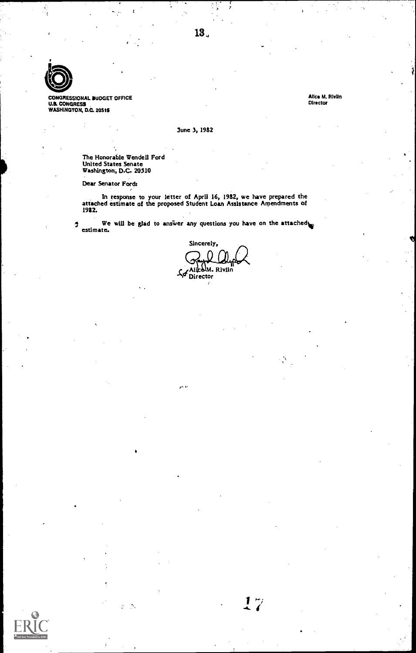

CONGRESSIONAL BUDGET OFFICE<br>U.S. CONGRESS<br>WASHINGTON, D.C. 2051\$

Alice M. RivIlrt **Director** 

June 3, 1982

The Honorable Wendell Ford United States Senate Washington, D.C. 20510

۰.

Dear Senator Fords

In response to your letter of April 16, 1982, we have prepared the attached estimate of the proposed Student Loan Assistance Arpendments Of 1982.

We will be glad to answer any questions you have on the attached  $\pmb{\mathfrak{I}}$ estimate.

Sincerely,  $\Omega$ So Alice M. Rivlin

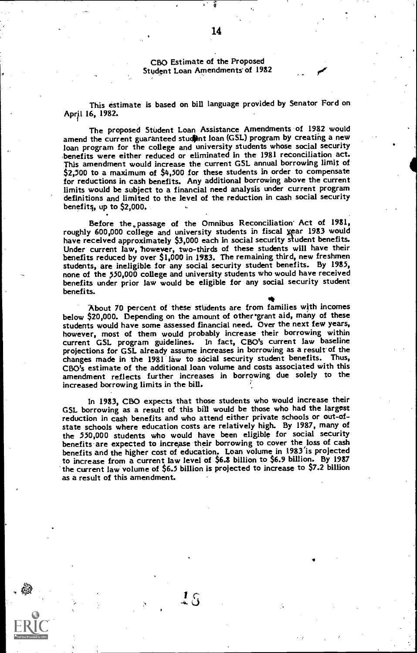CB0 Estimate of the Proposed Student Loan Amendments of 1982

This estimate is based on bill language provided by Senator Ford on April 16, 1982.

The proposed Student Loan Assistance Amendments of 1982 would amend the current guaranteed student loan (GSL) program by creating a new loan program for the college and university students whose social security benefits were either reduced or eliminated in the 1981 reconciliation act. This amendment would increase the current GSL annual borrowing limit of \$2,500 to a maximum of \$4,500 for these students in order to compensate for reductions in cash benefits. Any additional borrowing above the current limits would be subject to a financial need analysis under current program definitions and limited to the level of the reduction in cash social security benefits, up to \$2,000.

Before the passage of the Omnibus Reconciliation Act of 1981, roughly 600,000 college and university students in fiscal year 1983 would have received approximately \$3,000 each in social security student benefits. have received approximately \$3,000 each in social security student benefits. Under current law, 'however, two-thirds of these students will have their benefits reduced by over \$1,000 in 1983. The remaining third, new freshmen students, are ineligible for any social security student benefits. By 1985, none of the 550,000 college and university students who would have received benefits under prior law would be eligible for any social security student benefits.

About 70 percent of these students are from families with incomes below \$20,000. Depending on the amount of other grant aid, many of these<br>students would have some assessed financial need. Over the next few years, however, most of them would probably increase their borrowing within<br>current GSL program guidelines. In fact, CBO's current law baseline In fact, CBO's current law baseline projections for GSL already assume increases in borrowing as a result of the changes made in the 1981 law to social security student benefits. Thus, CBO's estimate of the additional loan volume and costs associated with this amendment reflects further increases in borrowing due solely to the increased borrowing limits in the bill.

In 1983, CB0 expects that those students who would increase their GSL borrowing as a result of this bill would be those who had the largest reduction in cash benefits and who attend either private schools or out-ofstate schools where education costs are relatively high. By 1987, many of the 550,000 students who would have been eligible for social security benefits are expected to increase their borrowing to cover the loss of cash benefits and the higher cost of education. Loan volume in 1983'is projected to increase from a current law level of \$6.8 billion to \$6.9 billion. By 1987 the current law volume of \$6.5 billion is projected to increase to \$7.2 billion as a result of this amendment.

 $\mathbf{1}_{\,\Omega}$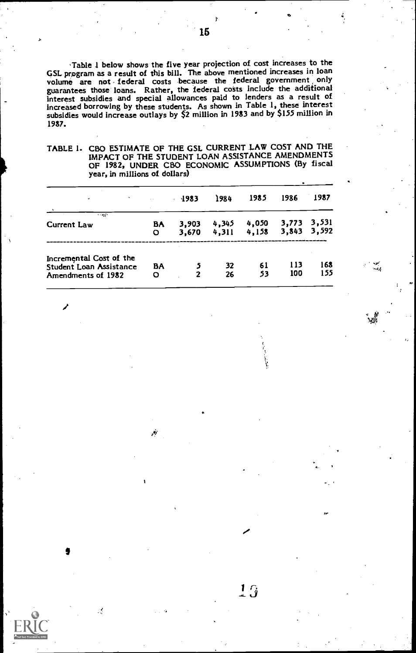Table 1 below shows the five year projection of cost increases to the GSL program as a result of this bill. The above mentioned increases in loan volume are not federal costs because the federal government only guarantees those loans. Rather, the federal cons include the additional interest subsidies and special allowances paid to lenders as a result of Increased borrowing by these students. As shown in Table 1, these interest subsidies would increase outlays by \$2 million in 1983 and by \$155 million in 1987.

TABLE 1. C80 ESTIMATE OF THE GSL CURRENT LAW COST AND THE IMPACT OF THE STUDENT LOAN ASSISTANCE AMENDMENTS OF 1982, UNDER C80 ECONOMIC ASSUMPTIONS (By fiscal year, in millions of dollars)

| ٠                                                                        |         | 1983<br>k.     | 1984           | 1985           | 1986       | 1987                       |
|--------------------------------------------------------------------------|---------|----------------|----------------|----------------|------------|----------------------------|
| <b>START AND</b><br>Current Law                                          | B۸<br>O | 3,903<br>3,670 | 4.345<br>4.311 | 4,050<br>4.158 |            | 3,773 3,531<br>3,843 3,592 |
| Incremental Cost of the<br>Student Loan Assistance<br>Amendments of 1982 | BA<br>O | 2              | 32<br>26       | 61<br>53       | 113<br>100 | 168<br>155                 |

15

 $1\overline{3}$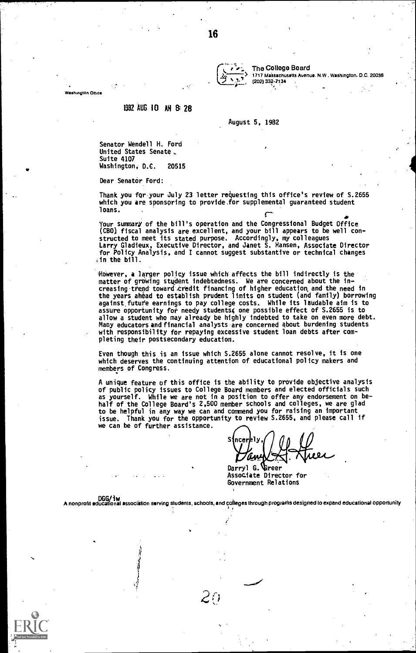The College Board  $\left(\frac{1}{2}, \frac{1}{2}, \frac{1}{2}\right)$  1717 Massachusetts Avenue. N.W . Washington. D.C. 20036

Washington Office

### 1982 AUG 10 AN 8:28

### August 5, 1982

Senator Wendell H. Ford United States Senate.. Suite 4107 Washington, D.C. 20515

Dear Senator Ford:

Thank you for your July 23 letter requesting this office's review of S.2655 which you are sponsoring to provide.for supplemental guaranteed student loans.

Your summary of the bill's operation and the Congressional Budget Office<br>(CBO) fiscal analysis are excellent, and your bill appears to be well con-<br>structed to meet its stated purpose. Accordingly, my colleagues<br>Larry Glad .in the bill.

ftwever, a larger policy issue which affects the bill indirectly is the matter of growing student indebtedness. We are concerned about the increasing trend toward credit financing of higher education and the need in<br>the years ahead to establish prudent limits on student (and family) borrowing against futute earnings to pay college costs. While its laudable aim is to assure opportunity for needy students4 one possible effect of S.2655 is to allow a student who may already be highly indebted to take on even more debt.<br>Many educators and financial analysts are concerned about burdening students<br>with responsibility for repaying excessive student loan debts after pleting their postsecondary education.

Even though this is an issue which S.2655 alone cannot resolve, it is one which deserves the continuing attention of educational policy makers and members of Congress.

A unique feature of this office is the ability to provide objective analysis of public policy issues to College Board members and elected officials such as yourself. While we are not in a position to offer any endorsement on be-half of the College Board's 2,500 member schools and colleges, we are glad to be helpful in any way we can and commend you for raising an important Thank you for the opportunity to review S.2655, and please call if we can be of further assistance.

s

Darryl G. Greer Associate Director for Government Relations

DGG/iw A nonprofit educational associition serving students, schools, and coheges through prograrns designed to expand educational opportunity ,

 $\mathcal{L}^{r}$ i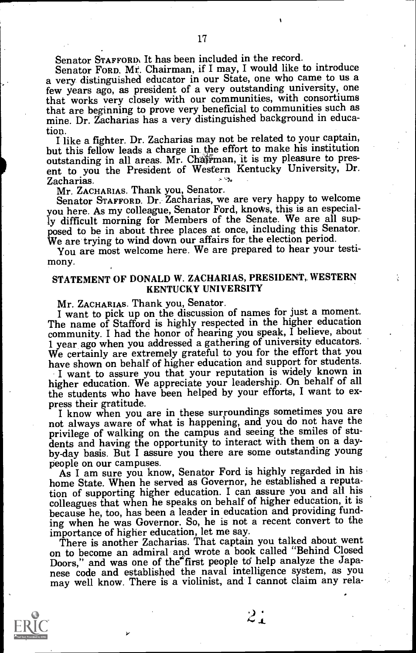Senator STAFFORD% It has been included in the record.

Senator FORD. Mr. Chairman, if I may, I would like to introduce a very distinguished educator in our State, one who came to us a few years ago, as president of a very outstanding university, one that works very closely with our communities, with consortiums that are beginning to prove very beneficial to communities such as mine. Dr. Zacharias has a very distinguished background in educa-

tion. I like a fighter. Dr. Zacharias may not be related to your captain, but this fellow leads a charge in the effort to make his institution outstanding in all areas. Mr. Chairman, it is my pleasure to present to you the President of Western Kentucky University, Dr. Zacharias.<br>Mr. ZACHARIAS. Thank you, Senator.

Senator STAFFORD. Dr. Zacharias, we are very happy to welcome you here. As my colleague, Senator Ford, knows, this is an especial-<br>ly difficult morning for Members of the Senate. We are all supposed to be in about three places at once, including this Senator.<br>We are trying to wind down our affairs for the election period.<br>You are most welcome here. We are prepared to hear your testi-

mony.

# STATEMENT OF DONALD W. ZACHARIAS, PRESIDENT, WESTERN KENTUCKY UNIVERSITY

Mr. ZACHARIAS. Thank you, Senator.<br>I want to pick up on the discussion of names for just a moment.<br>The name of Stafford is highly respected in the higher education community. I had the honor of hearing you speak, I believe, about 1 year ago when you addressed a gathering of university educators. We certainly are extremely grateful to you for the effort that you have shown on behalf of higher education and support for students.

I want to assure you that your reputation is widely known in the students who have been helped by your efforts, I want to ex-

press their gratitude.<br>I know when you are in these surroundings sometimes you are not always aware of what is happening, and you do not have the privilege of walking on the campus and seeing the smiles of students and having the opportunity to interact with them on a dayby-day basis. But I assure you there are some outstanding young people on our campuses.

As I am sure you know, Senator Ford is highly regarded in his home State. When he served as Governor, he established a reputation of supporting higher education. I can assure you and all his colleagues that when he speaks on behalf of higher education, it is because he, too, has been a leader in education and providing funding when he was Governor. So, he is not a recent convert to the importance of higher education, let me say.

There is another Zacharias. That captain you talked about went on to become an admiral and wrote a book called "Behind Closed Doors," and was one of the first people to help analyze the Japanese code and established the naval intelligence system, as you may well know. There is a violinist, and I cannot claim any rela-

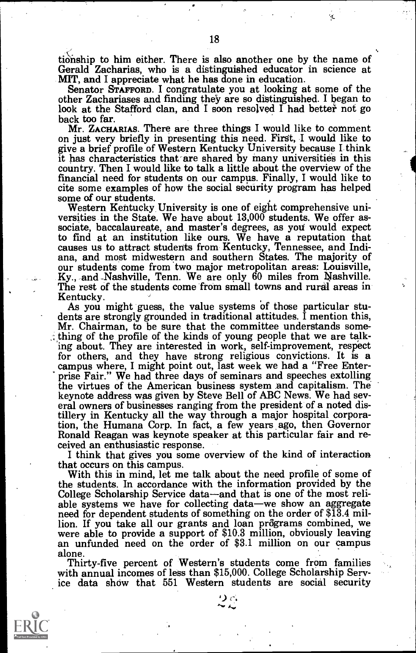tionship to him either. There is also another one by the name of Gerald Zacharias, who is a distinguished educator in science at MIT, and I appreciate what he has done in education.<br>Senator STAFFORD. I congratulate you at

look at the Stafford clan, and I soon resolved I had better not go back too far.<br>Mr. ZACHARIAS. There are three things I would like to comment

on just very briefly in presenting this need. First, I would like to give a brief profile of Western Kentucky University because I think<br>it has characteristics that are shared by many universities in this country. Then I would like to talk a little about the overview of the financial need for students on our campus. Finally, I would like to cite some examples of how the social security program has helped some of our students.

Western Kentucky University is one of eight comprehensive universities in the State. We have about 13,000 students. We offer associate, baccalaureate, and master's degrees, as you would expect to find at an institution like ours. We have a reputation that causes us to attract students from Kentucky, Tennessee, and Indiana, and most midwestern and southern States. The majority of our students come from two major

As you might guess, the value systems of those particular stu-<br>dents are strongly grounded in traditional attitudes. I mention this,<br>Mr. Chairman, to be sure that the committee understands something of the profile of the kinds of young people that we are talk-<br>ing about. They are interested in work, self-improvement, respect for others, and they have strong religious convictions. It is a campus where, I might point out, last week we had a "Free Enter prise Fair." We had three days of seminars and speeches extolling<br>the virtues of the American business system and capitalism. The keynote address was given by Steve Bell of ABC News. We had sev-<br>eral owners of businesses ranging from the president of a noted distillery in Kentucky all the way through a major hospital corpora-Ronald Reagan was keynote speaker at this particular fair and received an enthusiastic response.<br>I think that gives you some overview of the kind of interaction<br>that occurs on this campus.

With this in mind, let me talk about the need profile of some of the students. In accordance with the information provided by the College Scholarship Service data—and that is one of the most reliable systems we have for collecting data—we show an aggregate need for dependent students of something on the order of \$13.4 million. If you take all our gra were able to provide a support of \$10.3 million, obviously leaving an unfunded need on the order of \$3.1 million on our campus

alone.<br>Thirty-five percent of Western's students come from families with annual incomes of less than \$15,000. College Scholarship Service data show that 551 Western students are social security



 $\Omega$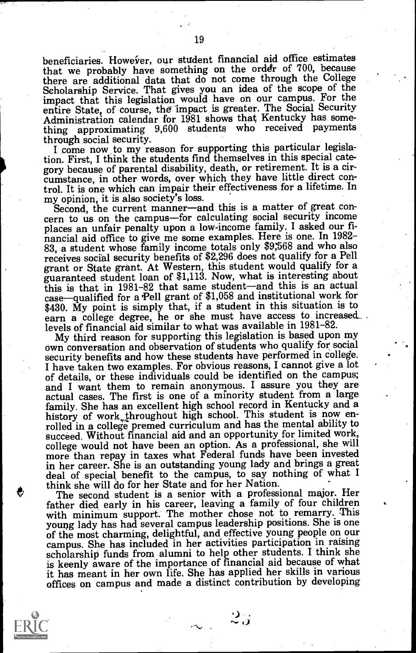beneficiaries. However, our student financial aid office estimates that we probably have something on the order of 700, because there are additional data that do not come through the College Scholarship Service. That gives you an idea of the scope of the impact that this legislation would have on our campus. For the entire State, of course, the impact is greater. The Social Security Administration calendar for 1981 shows that Kentucky has something approximating 9,600 students who received payments through social security.

I come now to my reason for supporting this particular legislation. First, I think the students find themselves in this special category because of parental disability, death, or retirement. It is a circumstance, in other words, over which they have little direct control. It is one which can impair their effectiveness for a lifetime. In

Second, the current manner—and this is a matter of great concern to us on the campus—for calculating social security income places an unfair penalty upon a low-income family. I asked our fiplaces an unfair penalty upon a low-income family. I asked our fi- nancial aid office to give me some examples. Here is one. In 1982- 83, a student whose family income totals only \$9568 and who also receives social security benefits of \$2,296 does not qualify for a Pell grant or State grant. At Western, this student would qualify for a guaranteed student loan of \$1,113. Now, what is interesting about this is that in 1981-82 that same student—and this is an actual case—qualified for a Pell grant of \$1,058 and institutional work for \$430. My point is simply that, if a student in this situation is to earn a college degree, he or she must have access to increased levels of financial aid similar to what was available in 1981-82.

My third reason for supporting this legislation is based upon my own conversation and observation of students who qualify for social security benefits and how these students have performed in college.<br>I have taken two examples. For obvious reasons, I cannot give a lot of details, or these individuals could be identified on the campus; and I want them to remain anonymous. I assure you they are actual cases. The first is one of a minority student from a large family. She has an excellent high school record in Kentucky and a history of work throughout high school. This student is now enrolled in a college premed curriculum and has the mental ability to succeed. Without financial aid and an opportunity for limited work, college would not have been an option. As a professional, she will more than repay in taxes what Federal funds have been invested<br>in her career. She is an outstanding young lady and brings a great deal of special benefit to the campus, to say nothing of what I think she will do for her State and for her Nation.

The second student is a senior with a professional major. Her father died early in his career, leaving a family of four children with minimum support. The mother chose not to remarry. This young lady has had several campus leadership positions. She is one of the most charming, delightful, and effective young people on our campus. She has included in her activities participation in raising scholarship funds from alumni to help other students. I think she is keenly aware of the importance of financial aid because of what it has meant in her own life. She has applied her skills in various offices on campus and made a distinct contribution by developing



19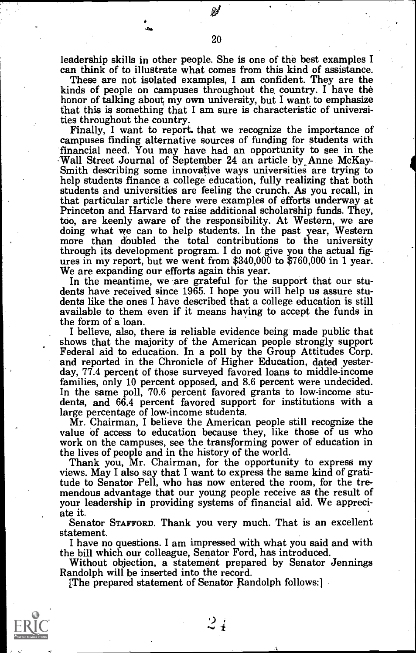leadership skills in other people. She is one of the best examples I can think of to illustrate what comes from this kind of assistance.

kinds of people on campuses throughout the country. I have the honor of talking about my own university, but I want to emphasize that this is something that I am sure is characteristic of universities throughout the country.

Finally, I want to report. that we recognize the importance of campuses finding alternative sources of funding for students with financial need. You may have had an opportunity to see in the Wall Street Journal of September 24 an article by Anne McKay-<br>Smith describing some innovative ways universities are trying to help students finance a college education, fully realizing that both students and universities are feeling the crunch. As you recall, in Princeton and Harvard to raise additional scholarship funds. They,<br>too, are keenly aware of the responsibility. At Western, we are<br>doing what we can to help students. In the past year, Western<br>more than doubled the total c

ures in my report, but we went from \$340,000 to \$760,000 in 1 year.<br>We are expanding our efforts again this year.<br>In the meantime, we are grateful for the support that our stu-<br>dents have received since 1965. I hope you wi the form of a loan.

I believe, also, there is reliable evidence being made public that<br>shows that the majority of the American people strongly support<br>Federal aid to education. In a poll by the Group Attitudes Corp.<br>and reported in the Chroni In the same poll, 70.6 percent favored grants to low-income stu-<br>dents, and 66.4 percent favored support for institutions with a<br>large percentage of low-income students.

Mr. Chairman, I believe the American people still recognize the value of access to education because they, like those of us who work on the campuses, see the transforming power of education in the lives of people and in th

Thank you, Mr. Chairman, for the opportunity to express my views. May I also say that I want to express the same kind of gratitude to Senator Pell, who has now entered the room, for the tre- mendous advantage that our young people receive as the result of your leadership in providing systems of financial aid. We appreci- ate it.

Senator STAFFORD. Thank you very much. That is an excellent statement.

I have no questions. I am impressed with what you said and with

Without objection, a statement prepared by Senator Jennings<br>Randolph will be inserted into the record.<br>[The prepared statement of Senator Randolph follows:]



 $2\frac{1}{4}$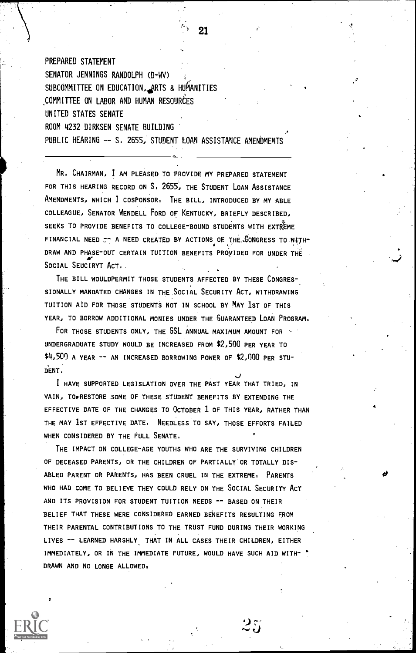PREPARED STATEMENT SENATOR JENNINGS RANDOLPH (D-WV) SUBCOMMITTEE ON EDUCATION,4ARTS & HUMANITIES COMMITTEE ON LABOR AND HUMAN RESOURCES UNITED STATES SENATE ROOM 4232 DIRKSEN SENATE BUILDING PUBLIC HEARING -- S. 2655, STUDENT LOAN ASSISTANCE AMENDMENTS

MR. CHAIRMAN, I AM PLEASED TO PROVIDE MY PREPARED STATEMENT FOR THIS HEARING RECORD ON S. 2655, THE STUDENT LOAN ASSISTANCE AMENDMENTS, WHICH I COSPONSOR, THE BILL, INTRODUCED BY MY ABLE COLLEAGUE, SENATOR WENDELL FORD OF KENTUCKY, BRIEFLY DESCRIBED, SEEKS TO PROVIDE BENEFITS TO COLLEGE-BOUND STUDENTS WITH EXTREME FINANCIAL NEED  $\pi$ - A NEED CREATED BY ACTIONS OF THE CONGRESS TO WITH-DRAW AND PHASE-OUT CERTAIN TUITION BENEFITS PROYIDED FOR UNDER THE SOCIAL SEUCIRYT ACT.

THE BILL WOULDPERMIT THOSE STUDENTS AFFECTED BY THESE CONGRES-SIONALLY MANDATED CHANGES IN THE SOCIAL SECURITY ACT, WITHDRAWING TUITION AID FOR THOSE STUDENTS NOT IN SCHOOL BY MAY 1ST OF THIS YEAR, TO BORROW ADDITIONAL MONIES UNDER THE GUARANTEED LOAN PROGRAM.

. -

 $25$ 

FOR THOSE STUDENTS ONLY, THE GSL ANNUAL MAXIMUM AMOUNT FOR -UNDERGRADUATE STUDY WOULD BE INCREASED FROM \$2,500 PER YEAR TO \$4,500 A YEAR -- AN INCREASED BORROWING POWER OF \$2,000 PER STU-DENT.

I HAVE SUPPORTED LEGISLATION OVER THE PAST YEAR THAT TRIED, IN VAIN, TO FRESTORE SOME OF THESE STUDENT BENEFITS BY EXTENDING THE EFFECTIVE DATE OF THE CHANGES TO OCTOBER 1 OF THIS YEAR, RATHER THAN THE MAY 1ST EFFECTIVE DATE. NEEDLESS TO SAY, THOSE EFFORTS FAILED WHEN CONSIDERED BY THE FULL SENATE.

THE IMPACT ON COLLEGE-AGE YOUTHS WHO ARE THE SURVIVING CHILDREN OF DECEASED PARENTS, OR THE CHILDREN OF PARTIALLY OR TOTALLY DIS-ABLED PARENT OR PARENTS, HAS BEEN CRUEL IN THE EXTREME, PARENTS WHO HAD COME TO BELIEVE THEY COULD RELY ON THE SOCIAL SECURITY ACT AND ITS PROVISION FOR STUDENT TUITION NEEDS -- BASED ON THEIR BELIEF THAT THESE WERE CONSIDERED EARNED BENEFITS RESULTING FROM THEIR PARENTAL CONTRIBUTIONS TO THE TRUST FUND DURING THEIR WORKING LIVES -- LEARNED HARSHLY THAT IN ALL CASES THEIR CHILDREN, EITHER IMMEDIATELY, OR IN THE IMMEDIATE FUTURE, WOULD HAVE SUCH AID WITH- ' DRAWN AND NO LONGE ALLOWED.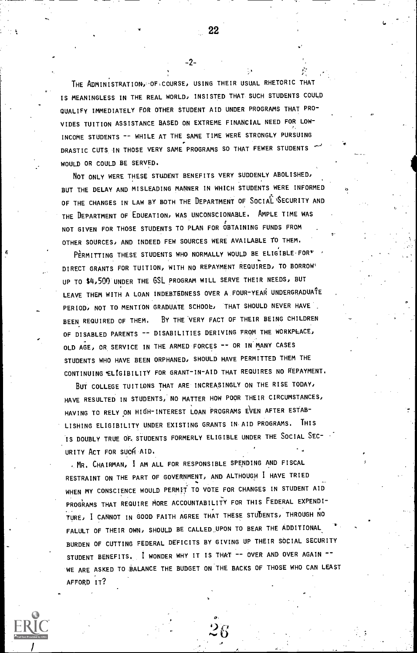THE ADMINISTRATION OF COURSE, USING THEIR USUAL RHETORIC THAT IS MEANINGLESS IN THE REAL WORLD, INSISTED THAT SUCH STUDENTS COULD QUALIFY IMMEDIATELY FOR OTHER STUDENT AID UNDER PROGRAMS THAT PRO-VIDES TUITION ASSISTANCE BASED ON EXTREME FINANCIAL NEED FOR LOW-INCOME STUDENTS -- WHILE AT THE SAME TIME WERE STRONGLY PURSUING DRASTIC CUTS IN THOSE VERY SAME PROGRAMS SO THAT FEWER STUDENTS WOULD OR COULD BE SERVED.

-2-

NOT ONLY WERE THESE STUDENT BENEFITS VERY SUDDENLY ABOLISHED; BUT THE DELAY AND MISLEADING MANNER IN WHICH STUDENTS WERE INFORMED OF THE CHANGES IN LAW BY BOTH THE DEPARTMENT OF SOCIAL SECURITY AND THE DEPARTMENT OF EDUEATION, WAS UNCONSCIONABLE. AMPLE TIME WAS NOT GIVEN FOR THOSE STUDENTS TO PLAN FOR OBTAINING FUNDS FROM OTHER SOURCES; AND INDEED FEW SOURCES WERE AVAILABLE TO THEM,

PERMITTING THESE STUDENTS WHO NORMALLY WOULD BE ELIGIBLE FOR\* DIRECT GRANTS FOR TUITION; WITH NO REPAYMENT REQUIRED; TO BORROW' UP TO \$4,500 UNDER THE GSL PROGRAM WILL SERVE THEIR NEEDS, BUT LEAVE THEM WITH A LOAN INDEBTEDNESS OVER A FOUR-YEAR UNDERGRADUATE PERIOD, NOT TO MENTION GRADUATE SCHOOL, THAT SHOULD NEVER HAVE BEEN REQUIRED OF THEM, BY THE VERY FACT OF THEIR BEING CHILDREN OF DISABLED PARENTS -- DISABILITIES DERIVING FROM THE WORKPLACE, OLD AGE, OR SERVICE IN THE ARMED FORCES -- OR IN MANY CASES STUDENTS WHO HAVE BEEN ORPHANED; SHOULD HAVE PERMITTED THEM THE CONTINUING \*ELIGIBILITY FOR GRANT-IN-AID THAT REQUIRES NO REPAYMENT.

BUT COLLEGE TUITIONS THAT ARE INCREASINGLY ON THE RISE TODAY, HAVE RESULTED IN STUDENTS, NO MATTER HOW POOR THEIR CIRCUMSTANCES, HAVING TO RELY ON HIGH-INTEREST LOAN PROGRAMS EVEN AFTER ESTAB-LISHING ELIGIBILITY UNDER EXISTING GRANTS IN AID PROGRAMS. THIS IS DOUBLY TRUE OF, STUDENTS FORMERLY ELIGIBLE UNDER THE SOCIAL SEC- URITY ACT FOR SUCH AID.

. MR. CHAIRMAN, I AM ALL FOR RESPONSIBLE SPENDING AND FISCAL RESTRAINT ON THE PART OF GOVERNMENT; AND ALTHOUGH I HAVE TRIED WHEN MY CONSCIENCE WOULD PERMIT TO VOTE FOR CHANGES IN STUDENT AID PROGRAMS THAT REQUIRE MORE ACCOUNTABILITY FOR THIS FEDERAL EXPENDI-TURE; I CANNOT IN GOOD FAITH AGREE THAT THESE STUDENTS; THROUGH NO FALULT OF THEIR OWN, SHOULD BE CALLED UPON TO BEAR THE ADDITIONAL BURDEN OF CUTTING FEDERAL DEFICITS BY GIVING UP THEIR SOCIAL SECURITY STUDENT BENEFITS. I WONDER WHY IT IS THAT -- OVER AND OVER AGAIN --WE ARE ASKED TO BALANCE THE BUDGET ON THE BACKS OF THOSE WHO CAN LEAST AFFORD IT?

cy.

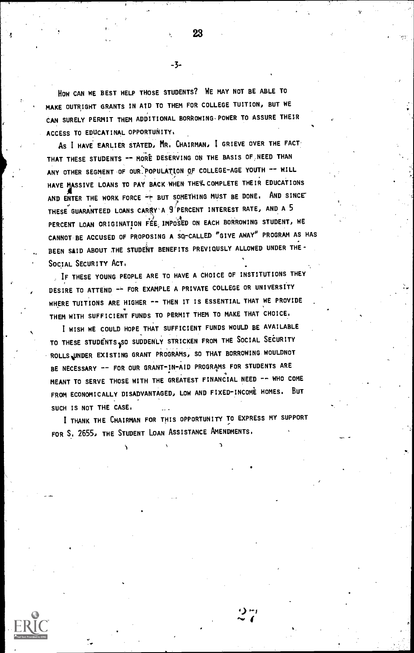HOW CAN WE BEST HELP THOSE STUDENTS? WE MAY NOT BE ABLE TO MAKE OUTRIGHT GRANTS IN AID TO THEM FOR COLLEGE TUITION, BUT WE CAN SURELY PERMIT THEM ADDITIONAL BORROWING-POWER TO ASSURE THEIR ACCESS TO EDUCATINAL OPPORTUNITY.

AS I HAVE EARLIER STATED, MR. CHAIRMAN, 1 GRIEVE OVER THE FACT THAT THESE STUDENTS -- MORE DESERVING ON THE BASIS OF NEED THAN ANY OTHER SEGMENT OF OUR POPULATION OF COLLEGE-AGE YOUTH -- WILL HAVE MASSIVE LOANS TO PAY BACK WHEN THE'L COMPLETE THEIR EDUCATIONS AND ENTER THE WORK FORCE  $+$  but something must be done. And since THESE GUARANTEED LOANS CARRY'A 9 PERCENT INTEREST RATE, AND A 5 PERCENT LOAN ORIGINATION FEE, IMPOSED ON EACH BORROWING STUDENT, WE CANNOT BE ACCUSED OF PROPOSING A SO-CALLED "GIVE AWAY" PROGRAM AS HAS BEEN SAID ABOUT THE STUDENT BENEFITS PREVIOUSLY ALLOWED UNDER THE-SOCIAL SECURITY ACT.

IF THESE YOUNG PEOPLE ARE TO HAVE A CHOICE OF INSTITUTIONS THEY DESIRE TO ATTEND -- FOR EXAMPLE A PRIVATE COLLEGE OR UNIVERSITY WHERE TUITIONS ARE HIGHER -- THEN IT IS ESSENTIAL THAT WE PROVIDE THEM WITH SUFFICIENT FUNDS TO PERMIT THEM TO MAKE THAT CHOICE.

I WISH WE COULD HOPE THAT SUFFICIENT FUNDS WOULD BE AVAILABLE TO THESE STUDENTS, SO SUDDENLY STRICKEN FROM THE SOCIAL SECURITY ROLLSWINDER EXISTING GRANT PROGRAMS, SO THAT BORROWING WOULDNOT BE NECESSARY -- FOR OUR GRANT-IN-AID PROGRAMS FOR STUDENTS ARE 4 MEANT TO SERVE THOSE WITH THE GREATEST FINANCIAL NEED -- WHO COME FROM ECONOMICALLY DISADVANTAGED, LOW AND FIXED-INCOME HOMES. BUT SUCH IS NOT THE CASE.

I THANK THE CHAIRMAN FOR THIS OPPORTUNITY TO EXPRESS MY SUPPORT FOR S. 2655, THE STUDENT LOAN ASSISTANCE AMENDMENTS.



23